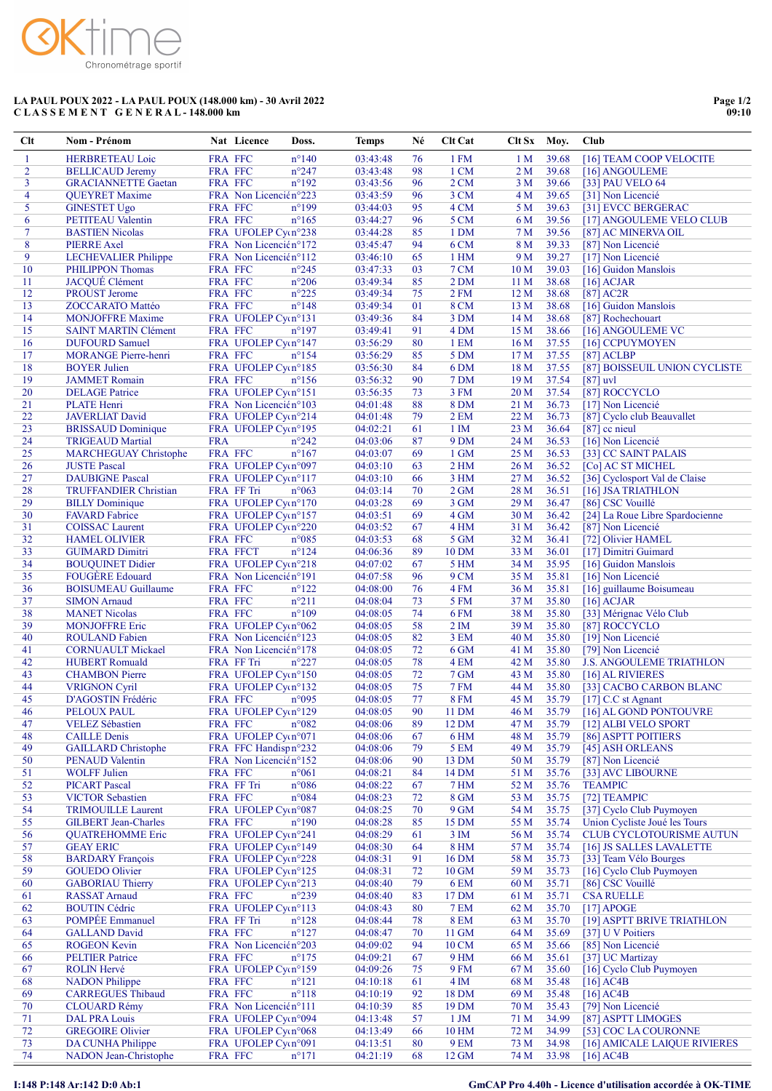

## LA PAUL POUX 2022 - LA PAUL POUX (148.000 km) - 30 Avril 2022 C L A S S E M E N T G E N E R A L - 148.000 km

| Clt            | Nom - Prénom                                           |                     | Nat Licence                                   | Doss.                            | <b>Temps</b>         | Né       | Clt Cat                 | Clt Sx          | Moy.           | Club                                                 |
|----------------|--------------------------------------------------------|---------------------|-----------------------------------------------|----------------------------------|----------------------|----------|-------------------------|-----------------|----------------|------------------------------------------------------|
| 1              | <b>HERBRETEAU Loic</b>                                 | FRA FFC             |                                               | $n^{\circ}140$                   | 03:43:48             | 76       | 1 FM                    | 1 <sub>M</sub>  | 39.68          | [16] TEAM COOP VELOCITE                              |
| $\overline{2}$ | <b>BELLICAUD Jeremy</b>                                | FRA FFC             |                                               | $n^{\circ}247$                   | 03:43:48             | 98       | 1 CM                    | 2M              | 39.68          | [16] ANGOULEME                                       |
| 3              | <b>GRACIANNETTE Gaetan</b>                             | FRA FFC             |                                               | $n^{\circ}192$                   | 03:43:56             | 96       | 2CM                     | 3M              | 39.66          | [33] PAU VELO 64                                     |
| 4<br>5         | <b>QUEYRET Maxime</b>                                  | FRA FFC             | FRA Non Licencién°223                         | $n^{\circ}199$                   | 03:43:59<br>03:44:03 | 96<br>95 | 3 CM<br>4 CM            | 4 M<br>5 M      | 39.65<br>39.63 | [31] Non Licencié                                    |
| 6              | <b>GINESTET Ugo</b><br>PETITEAU Valentin               | FRA FFC             |                                               | $n^{\circ}165$                   | 03:44:27             | 96       | 5 CM                    | 6 M             | 39.56          | [31] EVCC BERGERAC<br>[17] ANGOULEME VELO CLUB       |
| 7              | <b>BASTIEN Nicolas</b>                                 |                     | FRA UFOLEP Cycn°238                           |                                  | 03:44:28             | 85       | 1 DM                    | 7 <sub>M</sub>  | 39.56          | [87] AC MINERVA OIL                                  |
| 8              | <b>PIERRE Axel</b>                                     |                     | FRA Non Licencién°172                         |                                  | 03:45:47             | 94       | 6 CM                    | 8 M             | 39.33          | [87] Non Licencié                                    |
| 9              | <b>LECHEVALIER Philippe</b>                            |                     | FRA Non Licencién°112                         |                                  | 03:46:10             | 65       | $1$ HM                  | 9 M             | 39.27          | [17] Non Licencié                                    |
| 10             | PHILIPPON Thomas                                       | FRA FFC             |                                               | $n^{\circ}245$                   | 03:47:33             | 03       | 7 CM                    | 10 <sub>M</sub> | 39.03          | [16] Guidon Manslois                                 |
| 11             | <b>JACQUÉ Clément</b>                                  | FRA FFC             |                                               | $n^{\circ}206$                   | 03:49:34             | 85       | 2 DM                    | 11 <sub>M</sub> | 38.68          | $[16]$ ACJAR                                         |
| 12             | <b>PROUST Jerome</b>                                   | FRA FFC             |                                               | $n^{\circ}225$                   | 03:49:34             | 75       | 2 FM                    | 12M             | 38.68          | $[87]$ AC2R                                          |
| 13<br>14       | ZOCCARATO Mattéo                                       | FRA FFC             | FRA UFOLEP Cym <sup>o</sup> 131               | $n^{\circ}$ 148                  | 03:49:34<br>03:49:36 | 01<br>84 | 8 CM<br>3 DM            | 13 M<br>14M     | 38.68<br>38.68 | [16] Guidon Manslois                                 |
| 15             | <b>MONJOFFRE Maxime</b><br><b>SAINT MARTIN Clément</b> | FRA FFC             |                                               | $n^{\circ}197$                   | 03:49:41             | 91       | 4 DM                    | 15M             | 38.66          | [87] Rochechouart<br>[16] ANGOULEME VC               |
| 16             | <b>DUFOURD Samuel</b>                                  |                     | FRA UFOLEP Cycn°147                           |                                  | 03:56:29             | 80       | 1 EM                    | 16M             | 37.55          | [16] CCPUYMOYEN                                      |
| 17             | <b>MORANGE Pierre-henri</b>                            | FRA FFC             |                                               | $n^{\circ}154$                   | 03:56:29             | 85       | 5 DM                    | 17 <sub>M</sub> | 37.55          | $[87]$ ACLBP                                         |
| 18             | <b>BOYER Julien</b>                                    |                     | FRA UFOLEP Cycn°185                           |                                  | 03:56:30             | 84       | 6 DM                    | 18 <sub>M</sub> | 37.55          | [87] BOISSEUIL UNION CYCLISTE                        |
| 19             | <b>JAMMET</b> Romain                                   | FRA FFC             |                                               | $n^{\circ}156$                   | 03:56:32             | 90       | 7 DM                    | 19 <sub>M</sub> | 37.54          | $[87]$ uvl                                           |
| 20             | <b>DELAGE Patrice</b>                                  |                     | FRA UFOLEP Cycn°151                           |                                  | 03:56:35             | 73       | 3 FM                    | 20 <sub>M</sub> | 37.54          | [87] ROCCYCLO                                        |
| 21             | <b>PLATE</b> Henri                                     |                     | FRA Non Licencién°103                         |                                  | 04:01:48             | 88       | <b>8 DM</b>             | 21 M            | 36.73          | [17] Non Licencié                                    |
| 22<br>23       | <b>JAVERLIAT David</b><br><b>BRISSAUD Dominique</b>    |                     | FRA UFOLEP Cym°214<br>FRA UFOLEP Cycn°195     |                                  | 04:01:48<br>04:02:21 | 79<br>61 | 2 EM<br>1 <sub>IM</sub> | 22 M<br>23 M    | 36.73<br>36.64 | [87] Cyclo club Beauvallet                           |
| 24             | <b>TRIGEAUD Martial</b>                                | <b>FRA</b>          |                                               | $n^{\circ}242$                   | 04:03:06             | 87       | 9 <sub>DM</sub>         | 24 M            | 36.53          | $[87]$ cc nieul<br>[16] Non Licencié                 |
| 25             | <b>MARCHEGUAY Christophe</b>                           | FRA FFC             |                                               | $n^{\circ}167$                   | 04:03:07             | 69       | 1 GM                    | 25 M            | 36.53          | [33] CC SAINT PALAIS                                 |
| 26             | <b>JUSTE Pascal</b>                                    |                     | FRA UFOLEP Cycn°097                           |                                  | 04:03:10             | 63       | 2 <sub>HM</sub>         | 26 M            | 36.52          | [Co] AC ST MICHEL                                    |
| 27             | <b>DAUBIGNE Pascal</b>                                 |                     | FRA UFOLEP Cycn°117                           |                                  | 04:03:10             | 66       | 3 HM                    | 27 M            | 36.52          | [36] Cyclosport Val de Claise                        |
| 28             | <b>TRUFFANDIER Christian</b>                           | FRA FF Tri          |                                               | $n^{\circ}063$                   | 04:03:14             | 70       | $2$ GM                  | 28 M            | 36.51          | [16] JSA TRIATHLON                                   |
| 29             | <b>BILLY Dominique</b>                                 |                     | FRA UFOLEP Cycn°170                           |                                  | 04:03:28             | 69       | 3 GM                    | 29 M            | 36.47          | [86] CSC Vouillé                                     |
| 30             | <b>FAVARD</b> Fabrice                                  |                     | FRA UFOLEP Cycn°157                           |                                  | 04:03:51             | 69       | 4 GM                    | 30 M            | 36.42          | [24] La Roue Libre Spardocienne                      |
| 31             | <b>COISSAC</b> Laurent                                 |                     | FRA UFOLEP Cycn°220                           |                                  | 04:03:52             | 67       | 4 HM                    | 31 M            | 36.42          | [87] Non Licencié                                    |
| 32<br>33       | <b>HAMEL OLIVIER</b><br><b>GUIMARD Dimitri</b>         | FRA FFC<br>FRA FFCT |                                               | $n^{\circ}085$<br>$n^{\circ}124$ | 04:03:53<br>04:06:36 | 68<br>89 | 5 GM<br>10 DM           | 32 M<br>33 M    | 36.41<br>36.01 | [72] Olivier HAMEL<br>[17] Dimitri Guimard           |
| 34             | <b>BOUQUINET Didier</b>                                |                     | FRA UFOLEP Cycn°218                           |                                  | 04:07:02             | 67       | 5 HM                    | 34 M            | 35.95          | [16] Guidon Manslois                                 |
| 35             | <b>FOUGERE Edouard</b>                                 |                     | FRA Non Licencién°191                         |                                  | 04:07:58             | 96       | 9 CM                    | 35 M            | 35.81          | [16] Non Licencié                                    |
| 36             | <b>BOISUMEAU Guillaume</b>                             | FRA FFC             |                                               | $n^{\circ}122$                   | 04:08:00             | 76       | 4 FM                    | 36 M            | 35.81          | [16] guillaume Boisumeau                             |
| 37             | <b>SIMON</b> Arnaud                                    | FRA FFC             |                                               | $n^{\circ}211$                   | 04:08:04             | 73       | <b>5 FM</b>             | 37 M            | 35.80          | $[16]$ ACJAR                                         |
| 38             | <b>MANET Nicolas</b>                                   | FRA FFC             |                                               | $n^{\circ}109$                   | 04:08:05             | 74       | 6FM                     | 38 M            | 35.80          | [33] Mérignac Vélo Club                              |
| 39             | <b>MONJOFFRE Eric</b>                                  |                     | FRA UFOLEP Cycn°062                           |                                  | 04:08:05             | 58       | 2 <sub>IM</sub>         | 39 M            | 35.80          | [87] ROCCYCLO                                        |
| 40             | <b>ROULAND Fabien</b>                                  |                     | FRA Non Licencién°123                         |                                  | 04:08:05             | 82       | 3 EM                    | 40 M            | 35.80          | [19] Non Licencié                                    |
| 41<br>42       | <b>CORNUAULT Mickael</b><br><b>HUBERT Romuald</b>      | FRA FF Tri          | FRA Non Licencién°178                         | $n^{\circ}227$                   | 04:08:05<br>04:08:05 | 72<br>78 | 6 GM<br>4 EM            | 41 M<br>42 M    | 35.80<br>35.80 | [79] Non Licencié<br><b>J.S. ANGOULEME TRIATHLON</b> |
| 43             | <b>CHAMBON</b> Pierre                                  |                     | FRA UFOLEP Cycn°150                           |                                  | 04:08:05             | 72       | 7 GM                    | 43 M            | 35.80          | [16] AL RIVIERES                                     |
| 44             | <b>VRIGNON Cyril</b>                                   |                     | FRA UFOLEP Cycn°132                           |                                  | 04:08:05             | 75       | <b>7 FM</b>             | 44 M            | 35.80          | [33] CACBO CARBON BLANC                              |
| 45             | D'AGOSTIN Frédéric                                     | FRA FFC             |                                               | $n^{\circ}095$                   | 04:08:05             | 77       | <b>8 FM</b>             | 45 M            | 35.79          | [17] C.C st Agnant                                   |
| 46             | PELOUX PAUL                                            |                     | FRA UFOLEP Cycn°129                           |                                  | 04:08:05             | 90       | 11 DM                   |                 | 46 M 35.79     | [16] AL GOND PONTOUVRE                               |
| 47             | <b>VELEZ Sébastien</b>                                 | FRA FFC             |                                               | $n^{\circ}082$                   | 04:08:06             | 89       | 12 DM                   | 47 M            | 35.79          | [12] ALBI VELO SPORT                                 |
| 48             | <b>CAILLE Denis</b>                                    |                     | FRA UFOLEP Cycn°071                           |                                  | 04:08:06             | 67       | 6 HM                    | 48 M            | 35.79          | [86] ASPTT POITIERS                                  |
| 49<br>50       | <b>GAILLARD</b> Christophe<br><b>PENAUD Valentin</b>   |                     | FRA FFC Handispn°232<br>FRA Non Licencién°152 |                                  | 04:08:06<br>04:08:06 | 79<br>90 | <b>5 EM</b><br>13 DM    | 49 M<br>50 M    | 35.79<br>35.79 | [45] ASH ORLEANS<br>[87] Non Licencié                |
| 51             | <b>WOLFF Julien</b>                                    | FRA FFC             |                                               | $n^{\circ}061$                   | 04:08:21             | 84       | 14 DM                   | 51 M            | 35.76          | [33] AVC LIBOURNE                                    |
| 52             | <b>PICART Pascal</b>                                   | FRA FF Tri          |                                               | n°086                            | 04:08:22             | 67       | 7 HM                    | 52 M            | 35.76          | <b>TEAMPIC</b>                                       |
| 53             | <b>VICTOR Sebastien</b>                                | FRA FFC             |                                               | n°084                            | 04:08:23             | 72       | 8 GM                    | 53 M            | 35.75          | [72] TEAMPIC                                         |
| 54             | <b>TRIMOUILLE Laurent</b>                              |                     | FRA UFOLEP Cycn°087                           |                                  | 04:08:25             | 70       | 9 GM                    | 54 M            | 35.75          | [37] Cyclo Club Puymoyen                             |
| 55             | <b>GILBERT</b> Jean-Charles                            | FRA FFC             |                                               | $n^{\circ}190$                   | 04:08:28             | 85       | 15 DM                   | 55 M            | 35.74          | Union Cycliste Joué les Tours                        |
| 56             | <b>QUATREHOMME Eric</b>                                |                     | FRA UFOLEP Cycn°241                           |                                  | 04:08:29             | 61       | 3 <sub>IM</sub>         | 56 M            | 35.74          | CLUB CYCLOTOURISME AUTUN                             |
| 57             | <b>GEAY ERIC</b>                                       |                     | FRA UFOLEP Cycn°149                           |                                  | 04:08:30             | 64       | <b>8 HM</b>             | 57 M            | 35.74          | [16] JS SALLES LAVALETTE                             |
| 58<br>59       | <b>BARDARY</b> François<br><b>GOUEDO</b> Olivier       |                     | FRA UFOLEP Cycn°228<br>FRA UFOLEP Cycn°125    |                                  | 04:08:31<br>04:08:31 | 91       | 16 DM<br>10 GM          | 58 M            | 35.73          | [33] Team Vélo Bourges                               |
| 60             | <b>GABORIAU Thierry</b>                                |                     | FRA UFOLEP Cycn°213                           |                                  | 04:08:40             | 72<br>79 | 6 EM                    | 59 M<br>60 M    | 35.73<br>35.71 | [16] Cyclo Club Puymoyen<br>[86] CSC Vouillé         |
| 61             | <b>RASSAT Arnaud</b>                                   | FRA FFC             |                                               | $n^{\circ}239$                   | 04:08:40             | 83       | 17 DM                   | 61 M            | 35.71          | <b>CSA RUELLE</b>                                    |
| 62             | <b>BOUTIN Cédric</b>                                   |                     | FRA UFOLEP Cycn°113                           |                                  | 04:08:43             | 80       | <b>7 EM</b>             | 62 M            | 35.70          | $[17]$ APOGE                                         |
| 63             | <b>POMPÉE</b> Emmanuel                                 | FRA FF Tri          |                                               | $n^{\circ}128$                   | 04:08:44             | 78       | <b>8 EM</b>             | 63 M            | 35.70          | [19] ASPTT BRIVE TRIATHLON                           |
| 64             | <b>GALLAND David</b>                                   | FRA FFC             |                                               | $n^{\circ}127$                   | 04:08:47             | 70       | 11 GM                   | 64 M            | 35.69          | [37] U V Poitiers                                    |
| 65             | <b>ROGEON Kevin</b>                                    |                     | FRA Non Licencién°203                         |                                  | 04:09:02             | 94       | <b>10 CM</b>            | 65 M            | 35.66          | [85] Non Licencié                                    |
| 66             | <b>PELTIER Patrice</b>                                 | FRA FFC             |                                               | $n^{\circ}175$                   | 04:09:21             | 67       | 9 HM                    | 66 M            | 35.61          | [37] UC Martizay                                     |
| 67             | <b>ROLIN Hervé</b>                                     |                     | FRA UFOLEP Cycn°159                           |                                  | 04:09:26             | 75       | 9 FM                    | 67 M            | 35.60          | [16] Cyclo Club Puymoyen                             |
| 68             | <b>NADON</b> Philippe                                  | FRA FFC             |                                               | $n^{\circ}121$                   | 04:10:18             | 61       | 4 <sub>IM</sub>         | 68 M            | 35.48          | $[16]$ AC4B                                          |
| 69<br>70       | <b>CARREGUES Thibaud</b><br><b>CLOUARD Rémy</b>        | FRA FFC             | FRA Non Licencién°111                         | $n^{\circ}118$                   | 04:10:19<br>04:10:39 | 92<br>85 | 18 DM<br>19 DM          | 69 M<br>70 M    | 35.48<br>35.43 | [16] AC4B<br>[79] Non Licencié                       |
| 71             | <b>DAL PRA Louis</b>                                   |                     | FRA UFOLEP Cy(n°094                           |                                  | 04:13:48             | 57       | $1 \text{ JM}$          | 71 M            | 34.99          | [87] ASPTT LIMOGES                                   |
| 72             | <b>GREGOIRE Olivier</b>                                |                     | FRA UFOLEP Cym <sup>o</sup> 068               |                                  | 04:13:49             | 66       | 10 HM                   | 72 M            | 34.99          | [53] COC LA COURONNE                                 |
| 73             | DA CUNHA Philippe                                      |                     | FRA UFOLEP Cycn°091                           |                                  | 04:13:51             | 80       | 9 EM                    | 73 M            | 34.98          | [16] AMICALE LAIQUE RIVIERES                         |
| 74             | NADON Jean-Christophe                                  | FRA FFC             |                                               | $n^{\circ}171$                   | 04:21:19             | 68       | $12$ GM                 | 74 M            | 33.98          | [16] AC4B                                            |

## I:148 P:148 Ar:142 D:0 Ab:1 GmCAP Pro 4.40h - Licence d'utilisation accordée à OK-TIME